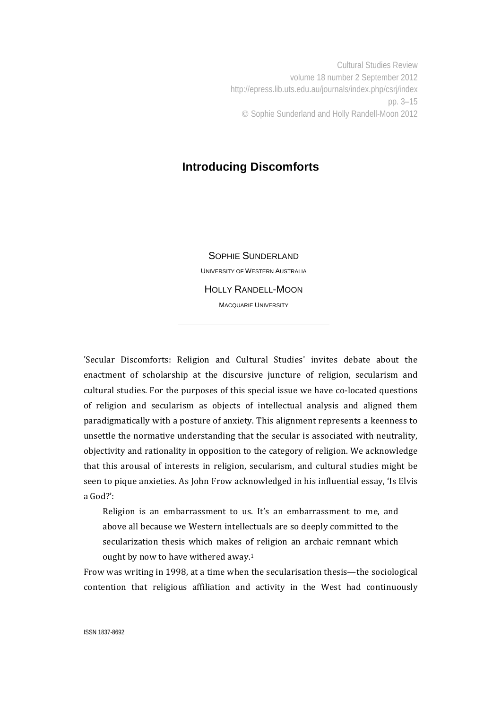Cultural Studies Review volume 18 number 2 September 2012 http://epress.lib.uts.edu.au/journals/index.php/csrj/index pp. 3–15 Sophie Sunderland and Holly Randell-Moon 2012

## **Introducing Discomforts**

SOPHIE SUNDERLAND UNIVERSITY OF WESTERN AUSTRALIA HOLLY RANDELL-MOON MACQUARIE UNIVERSITY

'Secular Discomforts: Religion and Cultural Studies' invites debate about the enactment of scholarship at the discursive juncture of religion, secularism and cultural studies. For the purposes of this special issue we have co-located questions of religion and secularism as objects of intellectual analysis and aligned them paradigmatically with a posture of anxiety. This alignment represents a keenness to unsettle the normative understanding that the secular is associated with neutrality, objectivity and rationality in opposition to the category of religion. We acknowledge that this arousal of interests in religion, secularism, and cultural studies might be seen to pique anxieties. As John Frow acknowledged in his influential essay, 'Is Elvis a God?':

Religion is an embarrassment to us. It's an embarrassment to me, and above all because we Western intellectuals are so deeply committed to the secularization thesis which makes of religion an archaic remnant which ought by now to have withered away.<sup>1</sup>

Frow was writing in 1998, at a time when the secularisation thesis—the sociological contention that religious affiliation and activity in the West had continuously

ISSN 1837-8692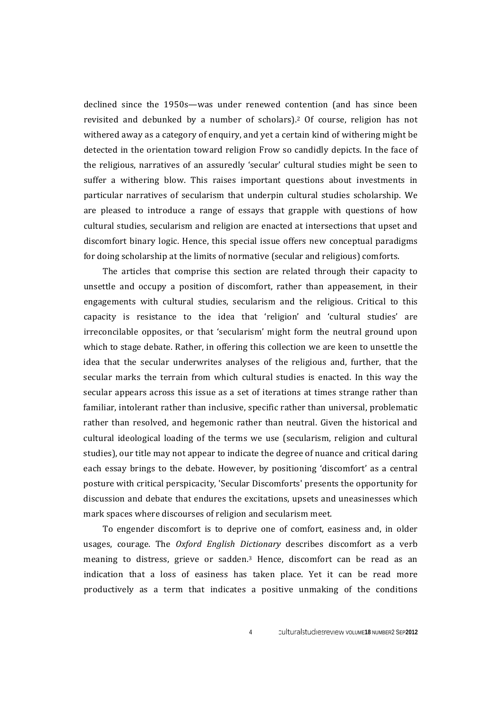declined since the 1950s—was under renewed contention (and has since been revisited and debunked by a number of scholars).<sup>2</sup> Of course, religion has not withered away as a category of enquiry, and yet a certain kind of withering might be detected in the orientation toward religion Frow so candidly depicts. In the face of the religious, narratives of an assuredly 'secular' cultural studies might be seen to suffer a withering blow. This raises important questions about investments in particular narratives of secularism that underpin cultural studies scholarship. We are pleased to introduce a range of essays that grapple with questions of how cultural studies, secularism and religion are enacted at intersections that upset and discomfort binary logic. Hence, this special issue offers new conceptual paradigms for doing scholarship at the limits of normative (secular and religious) comforts.

The articles that comprise this section are related through their capacity to unsettle and occupy a position of discomfort, rather than appeasement, in their engagements with cultural studies, secularism and the religious. Critical to this capacity is resistance to the idea that 'religion' and 'cultural studies' are irreconcilable opposites, or that 'secularism' might form the neutral ground upon which to stage debate. Rather, in offering this collection we are keen to unsettle the idea that the secular underwrites analyses of the religious and, further, that the secular marks the terrain from which cultural studies is enacted. In this way the secular appears across this issue as a set of iterations at times strange rather than familiar, intolerant rather than inclusive, specific rather than universal, problematic rather than resolved, and hegemonic rather than neutral. Given the historical and cultural ideological loading of the terms we use (secularism, religion and cultural studies), our title may not appear to indicate the degree of nuance and critical daring each essay brings to the debate. However, by positioning 'discomfort' as a central posture with critical perspicacity, 'Secular Discomforts' presents the opportunity for discussion and debate that endures the excitations, upsets and uneasinesses which mark spaces where discourses of religion and secularism meet.

To engender discomfort is to deprive one of comfort, easiness and, in older usages, courage. The *Oxford English Dictionary* describes discomfort as a verb meaning to distress, grieve or sadden. $3$  Hence, discomfort can be read as an indication that a loss of easiness has taken place. Yet it can be read more productively as a term that indicates a positive unmaking of the conditions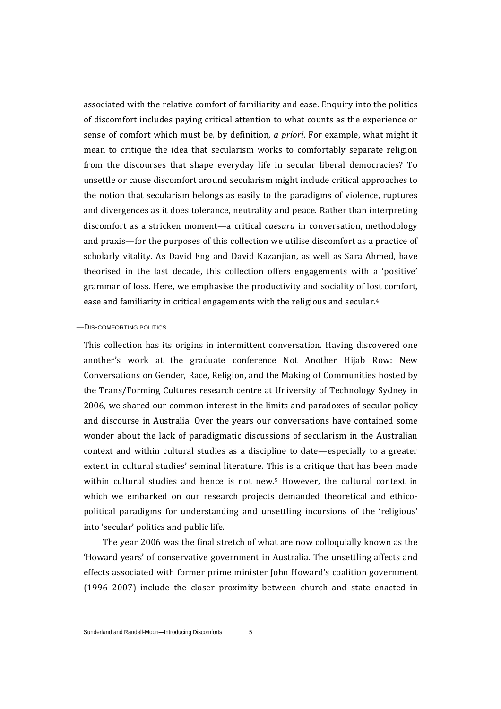associated with the relative comfort of familiarity and ease. Enquiry into the politics of discomfort includes paying critical attention to what counts as the experience or sense of comfort which must be, by definition, *a priori*. For example, what might it mean to critique the idea that secularism works to comfortably separate religion from the discourses that shape everyday life in secular liberal democracies? To unsettle or cause discomfort around secularism might include critical approaches to the notion that secularism belongs as easily to the paradigms of violence, ruptures and divergences as it does tolerance, neutrality and peace. Rather than interpreting discomfort as a stricken moment—a critical *caesura* in conversation, methodology and praxis—for the purposes of this collection we utilise discomfort as a practice of scholarly vitality. As David Eng and David Kazanjian, as well as Sara Ahmed, have theorised in the last decade, this collection offers engagements with a 'positive' grammar of loss. Here, we emphasise the productivity and sociality of lost comfort, ease and familiarity in critical engagements with the religious and secular.<sup>4</sup>

## —DIS-COMFORTING POLITICS

This collection has its origins in intermittent conversation. Having discovered one another's work at the graduate conference Not Another Hijab Row: New Conversations on Gender, Race, Religion, and the Making of Communities hosted by the Trans/Forming Cultures research centre at University of Technology Sydney in 2006, we shared our common interest in the limits and paradoxes of secular policy and discourse in Australia. Over the years our conversations have contained some wonder about the lack of paradigmatic discussions of secularism in the Australian context and within cultural studies as a discipline to date—especially to a greater extent in cultural studies' seminal literature. This is a critique that has been made within cultural studies and hence is not new.<sup>5</sup> However, the cultural context in which we embarked on our research projects demanded theoretical and ethicopolitical paradigms for understanding and unsettling incursions of the 'religious' into 'secular' politics and public life.

The year 2006 was the final stretch of what are now colloquially known as the 'Howard years' of conservative government in Australia. The unsettling affects and effects associated with former prime minister John Howard's coalition government  $(1996-2007)$  include the closer proximity between church and state enacted in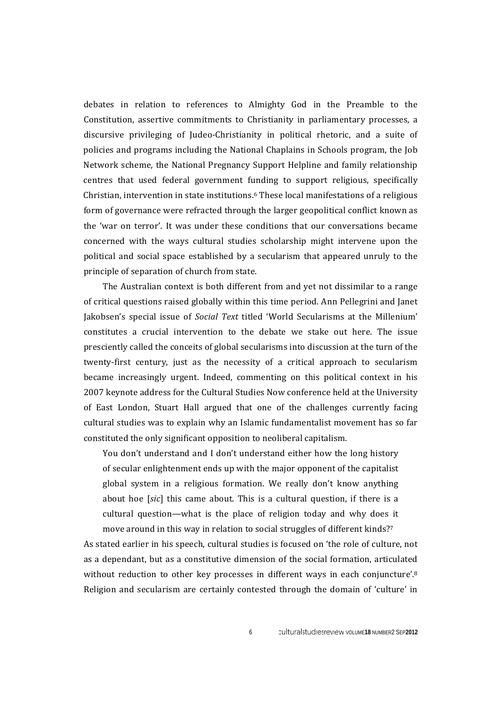debates in relation to references to Almighty God in the Preamble to the Constitution, assertive commitments to Christianity in parliamentary processes, a discursive privileging of Judeo-Christianity in political rhetoric, and a suite of policies and programs including the National Chaplains in Schools program, the Job Network scheme, the National Pregnancy Support Helpline and family relationship centres that used federal government funding to support religious, specifically Christian, intervention in state institutions.<sup>6</sup> These local manifestations of a religious form of governance were refracted through the larger geopolitical conflict known as the 'war on terror'. It was under these conditions that our conversations became concerned with the ways cultural studies scholarship might intervene upon the political and social space established by a secularism that appeared unruly to the principle of separation of church from state.

The Australian context is both different from and yet not dissimilar to a range of critical questions raised globally within this time period. Ann Pellegrini and Janet Iakobsen's special issue of *Social Text* titled 'World Secularisms at the Millenium' constitutes a crucial intervention to the debate we stake out here. The issue presciently called the conceits of global secularisms into discussion at the turn of the twenty-first century, just as the necessity of a critical approach to secularism became increasingly urgent. Indeed, commenting on this political context in his 2007 keynote address for the Cultural Studies Now conference held at the University of East London, Stuart Hall argued that one of the challenges currently facing cultural studies was to explain why an Islamic fundamentalist movement has so far constituted the only significant opposition to neoliberal capitalism.

You don't understand and I don't understand either how the long history of secular enlightenment ends up with the major opponent of the capitalist global system in a religious formation. We really don't know anything about hoe [sic] this came about. This is a cultural question, if there is a cultural question—what is the place of religion today and why does it move around in this way in relation to social struggles of different kinds?<sup>7</sup>

As stated earlier in his speech, cultural studies is focused on 'the role of culture, not as a dependant, but as a constitutive dimension of the social formation, articulated without reduction to other key processes in different ways in each conjuncture'. $8$ Religion and secularism are certainly contested through the domain of 'culture' in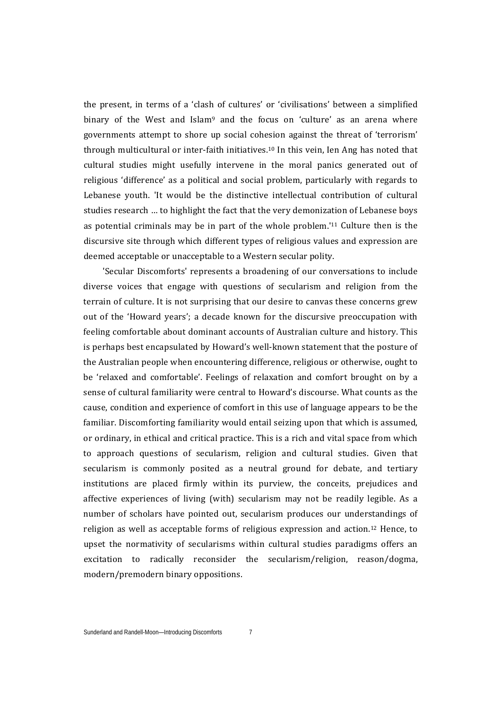the present, in terms of a 'clash of cultures' or 'civilisations' between a simplified binary of the West and Islam<sup>9</sup> and the focus on 'culture' as an arena where governments attempt to shore up social cohesion against the threat of 'terrorism' through multicultural or inter-faith initiatives.<sup>10</sup> In this vein, Ien Ang has noted that cultural studies might usefully intervene in the moral panics generated out of religious 'difference' as a political and social problem, particularly with regards to Lebanese youth. 'It would be the distinctive intellectual contribution of cultural studies research ... to highlight the fact that the very demonization of Lebanese boys as potential criminals may be in part of the whole problem.<sup>'11</sup> Culture then is the discursive site through which different types of religious values and expression are deemed acceptable or unacceptable to a Western secular polity.

'Secular Discomforts' represents a broadening of our conversations to include diverse voices that engage with questions of secularism and religion from the terrain of culture. It is not surprising that our desire to canvas these concerns grew out of the 'Howard years'; a decade known for the discursive preoccupation with feeling comfortable about dominant accounts of Australian culture and history. This is perhaps best encapsulated by Howard's well-known statement that the posture of the Australian people when encountering difference, religious or otherwise, ought to be 'relaxed and comfortable'. Feelings of relaxation and comfort brought on by a sense of cultural familiarity were central to Howard's discourse. What counts as the cause, condition and experience of comfort in this use of language appears to be the familiar. Discomforting familiarity would entail seizing upon that which is assumed, or ordinary, in ethical and critical practice. This is a rich and vital space from which to approach questions of secularism, religion and cultural studies. Given that secularism is commonly posited as a neutral ground for debate, and tertiary institutions are placed firmly within its purview, the conceits, prejudices and affective experiences of living (with) secularism may not be readily legible. As a number of scholars have pointed out, secularism produces our understandings of religion as well as acceptable forms of religious expression and action.<sup>12</sup> Hence, to upset the normativity of secularisms within cultural studies paradigms offers an excitation to radically reconsider the secularism/religion, reason/dogma, modern/premodern binary oppositions.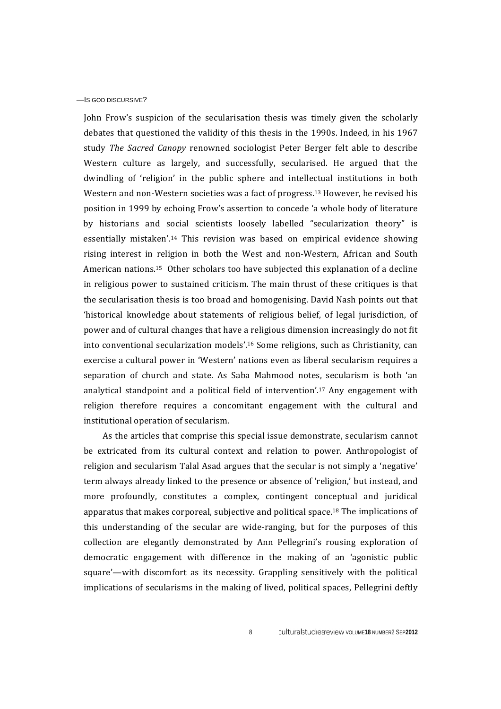## —IS GOD DISCURSIVE?

John Frow's suspicion of the secularisation thesis was timely given the scholarly debates that questioned the validity of this thesis in the 1990s. Indeed, in his 1967 study *The Sacred Canopy* renowned sociologist Peter Berger felt able to describe Western culture as largely, and successfully, secularised. He argued that the dwindling of 'religion' in the public sphere and intellectual institutions in both Western and non-Western societies was a fact of progress.<sup>13</sup> However, he revised his position in 1999 by echoing Frow's assertion to concede 'a whole body of literature by historians and social scientists loosely labelled "secularization theory" is essentially mistaken'.<sup>14</sup> This revision was based on empirical evidence showing rising interest in religion in both the West and non-Western, African and South American nations.<sup>15</sup> Other scholars too have subjected this explanation of a decline in religious power to sustained criticism. The main thrust of these critiques is that the secularisation thesis is too broad and homogenising. David Nash points out that 'historical knowledge about statements of religious belief, of legal jurisdiction, of power and of cultural changes that have a religious dimension increasingly do not fit into conventional secularization models'.<sup>16</sup> Some religions, such as Christianity, can exercise a cultural power in 'Western' nations even as liberal secularism requires a separation of church and state. As Saba Mahmood notes, secularism is both 'an analytical standpoint and a political field of intervention'.<sup>17</sup> Any engagement with religion therefore requires a concomitant engagement with the cultural and institutional operation of secularism.

As the articles that comprise this special issue demonstrate, secularism cannot be extricated from its cultural context and relation to power. Anthropologist of religion and secularism Talal Asad argues that the secular is not simply a 'negative' term always already linked to the presence or absence of 'religion,' but instead, and more profoundly, constitutes a complex, contingent conceptual and juridical apparatus that makes corporeal, subjective and political space.<sup>18</sup> The implications of this understanding of the secular are wide-ranging, but for the purposes of this collection are elegantly demonstrated by Ann Pellegrini's rousing exploration of democratic engagement with difference in the making of an 'agonistic public square'—with discomfort as its necessity. Grappling sensitively with the political implications of secularisms in the making of lived, political spaces, Pellegrini deftly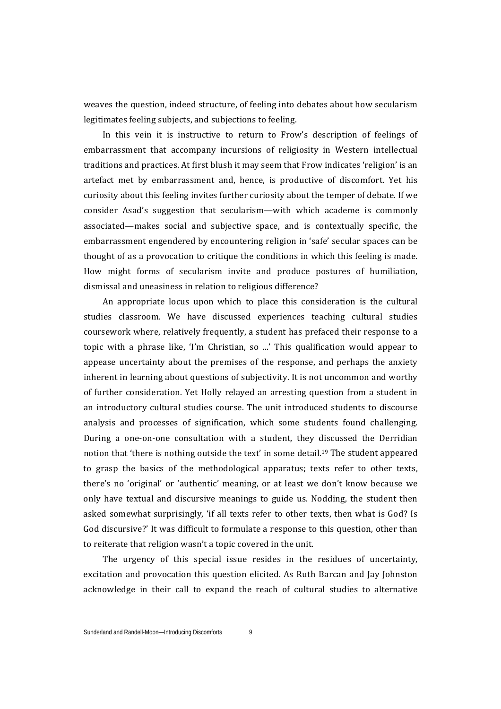weaves the question, indeed structure, of feeling into debates about how secularism legitimates feeling subjects, and subjections to feeling.

In this vein it is instructive to return to Frow's description of feelings of embarrassment that accompany incursions of religiosity in Western intellectual traditions and practices. At first blush it may seem that Frow indicates 'religion' is an artefact met by embarrassment and, hence, is productive of discomfort. Yet his curiosity about this feeling invites further curiosity about the temper of debate. If we consider Asad's suggestion that secularism—with which academe is commonly associated—makes social and subjective space, and is contextually specific, the embarrassment engendered by encountering religion in 'safe' secular spaces can be thought of as a provocation to critique the conditions in which this feeling is made. How might forms of secularism invite and produce postures of humiliation, dismissal and uneasiness in relation to religious difference?

An appropriate locus upon which to place this consideration is the cultural studies classroom. We have discussed experiences teaching cultural studies coursework where, relatively frequently, a student has prefaced their response to a topic with a phrase like, 'I'm Christian, so ...' This qualification would appear to appease uncertainty about the premises of the response, and perhaps the anxiety inherent in learning about questions of subjectivity. It is not uncommon and worthy of further consideration. Yet Holly relayed an arresting question from a student in an introductory cultural studies course. The unit introduced students to discourse analysis and processes of signification, which some students found challenging. During a one-on-one consultation with a student, they discussed the Derridian notion that 'there is nothing outside the text' in some detail.<sup>19</sup> The student appeared to grasp the basics of the methodological apparatus; texts refer to other texts, there's no 'original' or 'authentic' meaning, or at least we don't know because we only have textual and discursive meanings to guide us. Nodding, the student then asked somewhat surprisingly, 'if all texts refer to other texts, then what is God? Is God discursive?' It was difficult to formulate a response to this question, other than to reiterate that religion wasn't a topic covered in the unit.

The urgency of this special issue resides in the residues of uncertainty, excitation and provocation this question elicited. As Ruth Barcan and Jay Johnston acknowledge in their call to expand the reach of cultural studies to alternative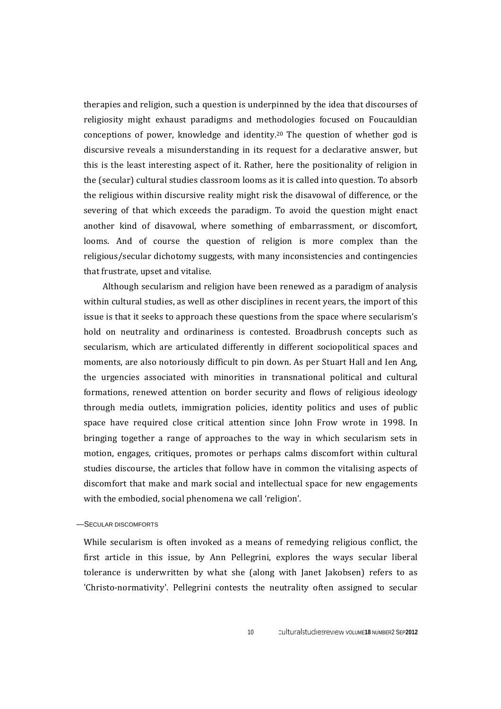therapies and religion, such a question is underpinned by the idea that discourses of religiosity might exhaust paradigms and methodologies focused on Foucauldian conceptions of power, knowledge and identity.<sup>20</sup> The question of whether god is discursive reveals a misunderstanding in its request for a declarative answer, but this is the least interesting aspect of it. Rather, here the positionality of religion in the (secular) cultural studies classroom looms as it is called into question. To absorb the religious within discursive reality might risk the disavowal of difference, or the severing of that which exceeds the paradigm. To avoid the question might enact another kind of disavowal, where something of embarrassment, or discomfort, looms. And of course the question of religion is more complex than the religious/secular dichotomy suggests, with many inconsistencies and contingencies that frustrate, upset and vitalise.

Although secularism and religion have been renewed as a paradigm of analysis within cultural studies, as well as other disciplines in recent vears, the import of this issue is that it seeks to approach these questions from the space where secularism's hold on neutrality and ordinariness is contested. Broadbrush concepts such as secularism, which are articulated differently in different sociopolitical spaces and moments, are also notoriously difficult to pin down. As per Stuart Hall and Ien Ang, the urgencies associated with minorities in transnational political and cultural formations, renewed attention on border security and flows of religious ideology through media outlets, immigration policies, identity politics and uses of public space have required close critical attention since John Frow wrote in 1998. In bringing together a range of approaches to the way in which secularism sets in motion, engages, critiques, promotes or perhaps calms discomfort within cultural studies discourse, the articles that follow have in common the vitalising aspects of discomfort that make and mark social and intellectual space for new engagements with the embodied, social phenomena we call 'religion'.

—SECULAR DISCOMFORTS

While secularism is often invoked as a means of remedying religious conflict, the first article in this issue, by Ann Pellegrini, explores the ways secular liberal tolerance is underwritten by what she (along with Janet Jakobsen) refers to as 'Christo-normativity'. Pellegrini contests the neutrality often assigned to secular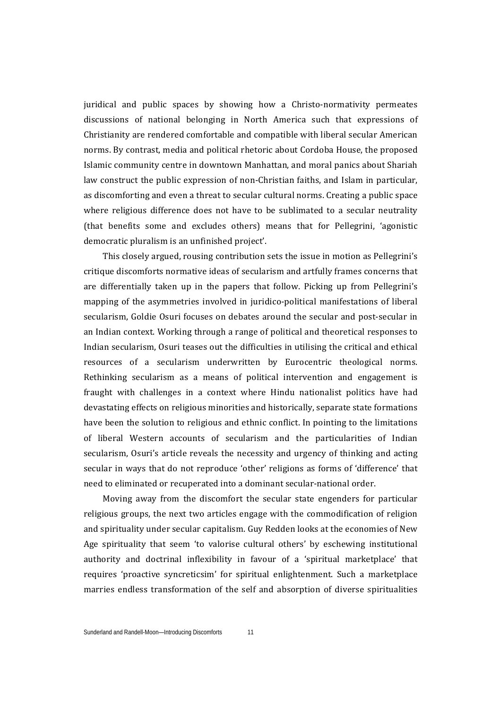juridical and public spaces by showing how a Christo-normativity permeates discussions of national belonging in North America such that expressions of Christianity are rendered comfortable and compatible with liberal secular American norms. By contrast, media and political rhetoric about Cordoba House, the proposed Islamic community centre in downtown Manhattan, and moral panics about Shariah law construct the public expression of non-Christian faiths, and Islam in particular, as discomforting and even a threat to secular cultural norms. Creating a public space where religious difference does not have to be sublimated to a secular neutrality (that benefits some and excludes others) means that for Pellegrini, 'agonistic democratic pluralism is an unfinished project'.

This closely argued, rousing contribution sets the issue in motion as Pellegrini's critique discomforts normative ideas of secularism and artfully frames concerns that are differentially taken up in the papers that follow. Picking up from Pellegrini's mapping of the asymmetries involved in juridico-political manifestations of liberal secularism, Goldie Osuri focuses on debates around the secular and post-secular in an Indian context. Working through a range of political and theoretical responses to Indian secularism, Osuri teases out the difficulties in utilising the critical and ethical resources of a secularism underwritten by Eurocentric theological norms. Rethinking secularism as a means of political intervention and engagement is fraught with challenges in a context where Hindu nationalist politics have had devastating effects on religious minorities and historically, separate state formations have been the solution to religious and ethnic conflict. In pointing to the limitations of liberal Western accounts of secularism and the particularities of Indian secularism, Osuri's article reveals the necessity and urgency of thinking and acting secular in ways that do not reproduce 'other' religions as forms of 'difference' that need to eliminated or recuperated into a dominant secular-national order.

Moving away from the discomfort the secular state engenders for particular religious groups, the next two articles engage with the commodification of religion and spirituality under secular capitalism. Guy Redden looks at the economies of New Age spirituality that seem 'to valorise cultural others' by eschewing institutional authority and doctrinal inflexibility in favour of a 'spiritual marketplace' that requires 'proactive syncreticsim' for spiritual enlightenment. Such a marketplace marries endless transformation of the self and absorption of diverse spiritualities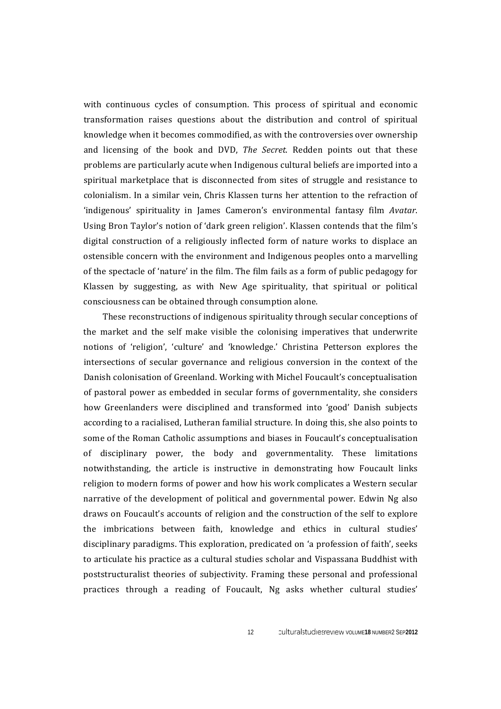with continuous cycles of consumption. This process of spiritual and economic transformation raises questions about the distribution and control of spiritual knowledge when it becomes commodified, as with the controversies over ownership and licensing of the book and DVD, *The Secret*. Redden points out that these problems are particularly acute when Indigenous cultural beliefs are imported into a spiritual marketplace that is disconnected from sites of struggle and resistance to colonialism. In a similar vein, Chris Klassen turns her attention to the refraction of 'indigenous' spirituality in James Cameron's environmental fantasy film *Avatar*. Using Bron Taylor's notion of 'dark green religion'. Klassen contends that the film's digital construction of a religiously inflected form of nature works to displace an ostensible concern with the environment and Indigenous peoples onto a marvelling of the spectacle of 'nature' in the film. The film fails as a form of public pedagogy for Klassen by suggesting, as with  $New Age$  spirituality, that spiritual or political consciousness can be obtained through consumption alone.

These reconstructions of indigenous spirituality through secular conceptions of the market and the self make visible the colonising imperatives that underwrite notions of 'religion', 'culture' and 'knowledge.' Christina Petterson explores the intersections of secular governance and religious conversion in the context of the Danish colonisation of Greenland. Working with Michel Foucault's conceptualisation of pastoral power as embedded in secular forms of governmentality, she considers how Greenlanders were disciplined and transformed into 'good' Danish subjects according to a racialised, Lutheran familial structure. In doing this, she also points to some of the Roman Catholic assumptions and biases in Foucault's conceptualisation of disciplinary power, the body and governmentality. These limitations notwithstanding, the article is instructive in demonstrating how Foucault links religion to modern forms of power and how his work complicates a Western secular narrative of the development of political and governmental power. Edwin Ng also draws on Foucault's accounts of religion and the construction of the self to explore the imbrications between faith, knowledge and ethics in cultural studies' disciplinary paradigms. This exploration, predicated on 'a profession of faith', seeks to articulate his practice as a cultural studies scholar and Vispassana Buddhist with poststructuralist theories of subjectivity. Framing these personal and professional practices through a reading of Foucault, Ng asks whether cultural studies'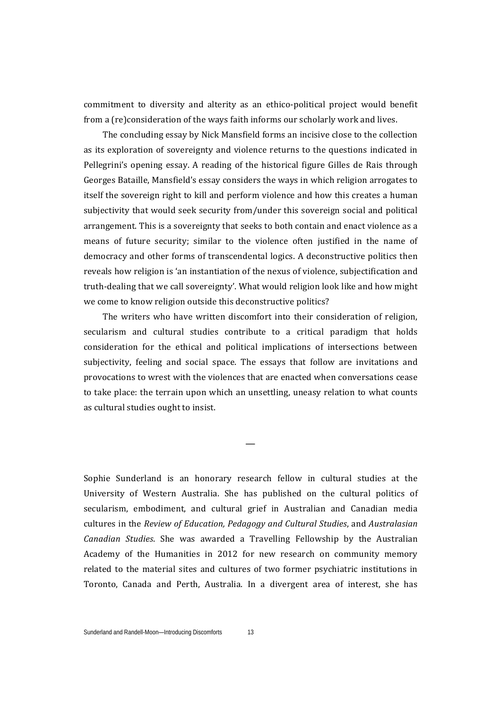commitment to diversity and alterity as an ethico-political project would benefit from a (re)consideration of the ways faith informs our scholarly work and lives.

The concluding essay by Nick Mansfield forms an incisive close to the collection as its exploration of sovereignty and violence returns to the questions indicated in Pellegrini's opening essay. A reading of the historical figure Gilles de Rais through Georges Bataille, Mansfield's essay considers the ways in which religion arrogates to itself the sovereign right to kill and perform violence and how this creates a human subjectivity that would seek security from/under this sovereign social and political arrangement. This is a sovereignty that seeks to both contain and enact violence as a means of future security; similar to the violence often justified in the name of democracy and other forms of transcendental logics. A deconstructive politics then reveals how religion is 'an instantiation of the nexus of violence, subjectification and truth-dealing that we call sovereignty'. What would religion look like and how might we come to know religion outside this deconstructive politics?

The writers who have written discomfort into their consideration of religion, secularism and cultural studies contribute to a critical paradigm that holds consideration for the ethical and political implications of intersections between subjectivity, feeling and social space. The essays that follow are invitations and provocations to wrest with the violences that are enacted when conversations cease to take place: the terrain upon which an unsettling, uneasy relation to what counts as cultural studies ought to insist.

—

Sophie Sunderland is an honorary research fellow in cultural studies at the University of Western Australia. She has published on the cultural politics of secularism, embodiment, and cultural grief in Australian and Canadian media cultures in the *Review of Education, Pedagogy and Cultural Studies*, and *Australasian Canadian Studies*. She was awarded a Travelling Fellowship by the Australian Academy of the Humanities in 2012 for new research on community memory related to the material sites and cultures of two former psychiatric institutions in Toronto, Canada and Perth, Australia. In a divergent area of interest, she has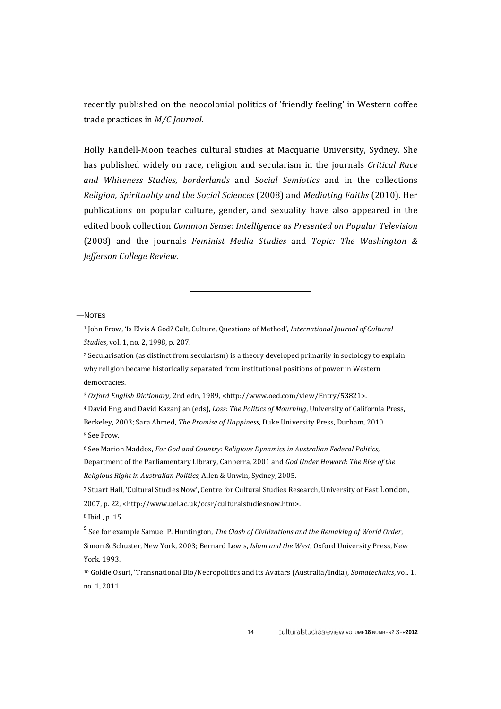recently published on the neocolonial politics of 'friendly feeling' in Western coffee trade practices in *M/C* Journal.

Holly Randell-Moon teaches cultural studies at Macquarie University, Sydney. She has published widely on race, religion and secularism in the journals *Critical Race and Whiteness Studies*, *borderlands* and *Social Semiotics* and in the collections *Religion, Spirituality and the Social Sciences* (2008) and *Mediating Faiths* (2010). Her publications on popular culture, gender, and sexuality have also appeared in the edited book collection *Common Sense: Intelligence as Presented on Popular Television* (2008) and the journals *Feminist Media Studies* and *Topic: The Washington & Jefferson College Review.*

 

—NOTES

<sup>1</sup> John Frow, 'Is Elvis A God? Cult, Culture, Questions of Method', *International Journal of Cultural Studies*, vol. 1, no. 2, 1998, p. 207.

 $2$  Secularisation (as distinct from secularism) is a theory developed primarily in sociology to explain why religion became historically separated from institutional positions of power in Western democracies.

<sup>3</sup> Oxford English Dictionary, 2nd edn, 1989, <http://www.oed.com/view/Entry/53821>.

<sup>4</sup> David Eng, and David Kazanjian (eds), *Loss: The Politics of Mourning*, University of California Press, Berkeley, 2003; Sara Ahmed, *The Promise of Happiness*, Duke University Press, Durham, 2010. 5 See Frow.

<sup>6</sup> See Marion Maddox, *For God and Country: Religious Dynamics in Australian Federal Politics,* Department of the Parliamentary Library, Canberra, 2001 and *God Under Howard: The Rise of the Religious Right in Australian Politics, Allen & Unwin, Sydney, 2005.* 

7 Stuart Hall, 'Cultural Studies Now', Centre for Cultural Studies Research, University of East London, 2007, p. 22, <http://www.uel.ac.uk/ccsr/culturalstudiesnow.htm>. <sup>8</sup> Ibid., p. 15.

<sup>9</sup> See for example Samuel P. Huntington, *The Clash of Civilizations and the Remaking of World Order*, Simon & Schuster, New York, 2003; Bernard Lewis, *Islam and the West*, Oxford University Press, New York, 1993.

<sup>10</sup> Goldie Osuri, 'Transnational Bio/Necropolitics and its Avatars (Australia/India), *Somatechnics*, vol. 1, no. 1, 2011.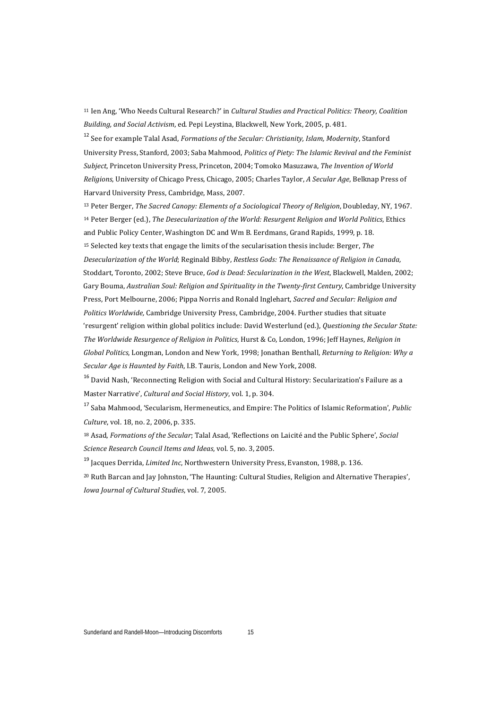<sup>11</sup> Ien Ang, 'Who Needs Cultural Research?' in *Cultural Studies and Practical Politics: Theory, Coalition Building, and Social Activism, ed. Pepi Leystina, Blackwell, New York, 2005, p. 481.* 

<sup>12</sup> See for example Talal Asad, *Formations of the Secular: Christianity*, *Islam, Modernity*, Stanford University Press, Stanford, 2003; Saba Mahmood, *Politics of Piety: The Islamic Revival and the Feminist Subject*, Princeton University Press, Princeton, 2004; Tomoko Masuzawa, The Invention of World *Religions*, University of Chicago Press, Chicago, 2005; Charles Taylor, *A Secular Age*, Belknap Press of Harvard University Press, Cambridge, Mass, 2007.

13 Peter Berger, *The Sacred Canopy: Elements of a Sociological Theory of Religion*, Doubleday, NY, 1967. <sup>14</sup> Peter Berger (ed.), *The Desecularization of the World: Resurgent Religion and World Politics*, Ethics and Public Policy Center, Washington DC and Wm B. Eerdmans, Grand Rapids, 1999, p. 18. <sup>15</sup> Selected key texts that engage the limits of the secularisation thesis include: Berger, *The* Desecularization of the World; Reginald Bibby, Restless Gods: The Renaissance of Religion in Canada, Stoddart, Toronto, 2002; Steve Bruce, *God is Dead: Secularization in the West*, Blackwell, Malden, 2002; Gary Bouma, *Australian Soul: Religion and Spirituality in the Twenty-first Century*, Cambridge University Press, Port Melbourne, 2006; Pippa Norris and Ronald Inglehart, *Sacred and Secular: Religion and Politics Worldwide*, Cambridge University Press, Cambridge, 2004. Further studies that situate 'resurgent' religion within global politics include: David Westerlund (ed.), Questioning the Secular State: *The Worldwide Resurgence of Religion in Politics*, Hurst & Co, London, 1996; Jeff Haynes, *Religion in Global Politics*, Longman, London and New York, 1998; Ionathan Benthall, *Returning to Religion: Why g Secular Age is Haunted by Faith*, I.B. Tauris, London and New York, 2008.

<sup>16</sup> David Nash, 'Reconnecting Religion with Social and Cultural History: Secularization's Failure as a Master Narrative', *Cultural and Social History*, vol. 1, p. 304.

<sup>17</sup> Saba Mahmood, 'Secularism, Hermeneutics, and Empire: The Politics of Islamic Reformation', *Public Culture*, vol. 18, no. 2, 2006, p. 335.

<sup>18</sup> Asad, *Formations of the Secular*; Talal Asad, 'Reflections on Laicité and the Public Sphere', *Social Science Research Council Items and Ideas*, vol. 5, no. 3, 2005.

<sup>19</sup> Jacques Derrida, *Limited Inc*, Northwestern University Press, Evanston, 1988, p. 136.

<sup>20</sup> Ruth Barcan and Jay Johnston, 'The Haunting: Cultural Studies, Religion and Alternative Therapies', *Iowa Journal of Cultural Studies*, vol. 7, 2005.